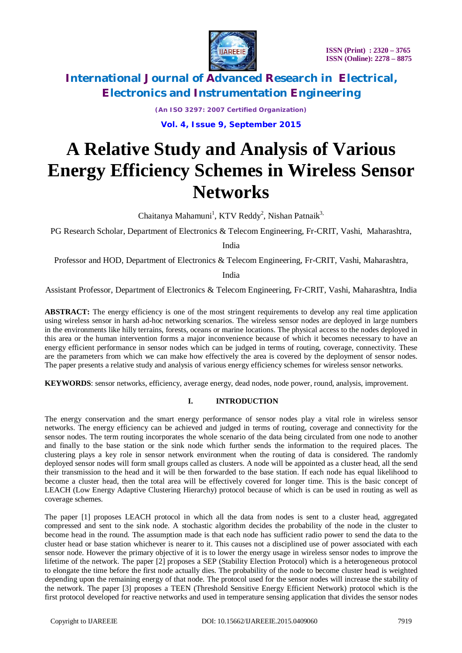

> *(An ISO 3297: 2007 Certified Organization)* **Vol. 4, Issue 9, September 2015**

# **A Relative Study and Analysis of Various Energy Efficiency Schemes in Wireless Sensor Networks**

Chaitanya Mahamuni<sup>1</sup>, KTV Reddy<sup>2</sup>, Nishan Patnaik<sup>3,</sup>

PG Research Scholar, Department of Electronics & Telecom Engineering, Fr-CRIT, Vashi, Maharashtra,

India

Professor and HOD, Department of Electronics & Telecom Engineering, Fr-CRIT, Vashi, Maharashtra,

India

Assistant Professor, Department of Electronics & Telecom Engineering, Fr-CRIT, Vashi, Maharashtra, India

**ABSTRACT:** The energy efficiency is one of the most stringent requirements to develop any real time application using wireless sensor in harsh ad-hoc networking scenarios. The wireless sensor nodes are deployed in large numbers in the environments like hilly terrains, forests, oceans or marine locations. The physical access to the nodes deployed in this area or the human intervention forms a major inconvenience because of which it becomes necessary to have an energy efficient performance in sensor nodes which can be judged in terms of routing, coverage, connectivity. These are the parameters from which we can make how effectively the area is covered by the deployment of sensor nodes. The paper presents a relative study and analysis of various energy efficiency schemes for wireless sensor networks.

**KEYWORDS**: sensor networks, efficiency, average energy, dead nodes, node power, round, analysis, improvement.

### **I. INTRODUCTION**

The energy conservation and the smart energy performance of sensor nodes play a vital role in wireless sensor networks. The energy efficiency can be achieved and judged in terms of routing, coverage and connectivity for the sensor nodes. The term routing incorporates the whole scenario of the data being circulated from one node to another and finally to the base station or the sink node which further sends the information to the required places. The clustering plays a key role in sensor network environment when the routing of data is considered. The randomly deployed sensor nodes will form small groups called as clusters. A node will be appointed as a cluster head, all the send their transmission to the head and it will be then forwarded to the base station. If each node has equal likelihood to become a cluster head, then the total area will be effectively covered for longer time. This is the basic concept of LEACH (Low Energy Adaptive Clustering Hierarchy) protocol because of which is can be used in routing as well as coverage schemes.

The paper [1] proposes LEACH protocol in which all the data from nodes is sent to a cluster head, aggregated compressed and sent to the sink node. A stochastic algorithm decides the probability of the node in the cluster to become head in the round. The assumption made is that each node has sufficient radio power to send the data to the cluster head or base station whichever is nearer to it. This causes not a disciplined use of power associated with each sensor node. However the primary objective of it is to lower the energy usage in wireless sensor nodes to improve the lifetime of the network. The paper [2] proposes a SEP (Stability Election Protocol) which is a heterogeneous protocol to elongate the time before the first node actually dies. The probability of the node to become cluster head is weighted depending upon the remaining energy of that node. The protocol used for the sensor nodes will increase the stability of the network. The paper [3] proposes a TEEN (Threshold Sensitive Energy Efficient Network) protocol which is the first protocol developed for reactive networks and used in temperature sensing application that divides the sensor nodes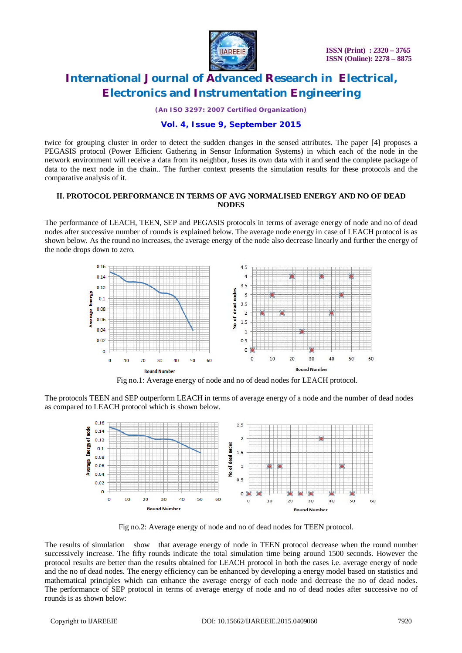

*(An ISO 3297: 2007 Certified Organization)*

### **Vol. 4, Issue 9, September 2015**

twice for grouping cluster in order to detect the sudden changes in the sensed attributes. The paper [4] proposes a PEGASIS protocol (Power Efficient Gathering in Sensor Information Systems) in which each of the node in the network environment will receive a data from its neighbor, fuses its own data with it and send the complete package of data to the next node in the chain.. The further context presents the simulation results for these protocols and the comparative analysis of it.

#### **II. PROTOCOL PERFORMANCE IN TERMS OF AVG NORMALISED ENERGY AND NO OF DEAD NODES**

The performance of LEACH, TEEN, SEP and PEGASIS protocols in terms of average energy of node and no of dead nodes after successive number of rounds is explained below. The average node energy in case of LEACH protocol is as shown below. As the round no increases, the average energy of the node also decrease linearly and further the energy of the node drops down to zero.



Fig no.1: Average energy of node and no of dead nodes for LEACH protocol.

The protocols TEEN and SEP outperform LEACH in terms of average energy of a node and the number of dead nodes as compared to LEACH protocol which is shown below.



Fig no.2: Average energy of node and no of dead nodes for TEEN protocol.

The results of simulation show that average energy of node in TEEN protocol decrease when the round number successively increase. The fifty rounds indicate the total simulation time being around 1500 seconds. However the protocol results are better than the results obtained for LEACH protocol in both the cases i.e. average energy of node and the no of dead nodes. The energy efficiency can be enhanced by developing a energy model based on statistics and mathematical principles which can enhance the average energy of each node and decrease the no of dead nodes. The performance of SEP protocol in terms of average energy of node and no of dead nodes after successive no of rounds is as shown below: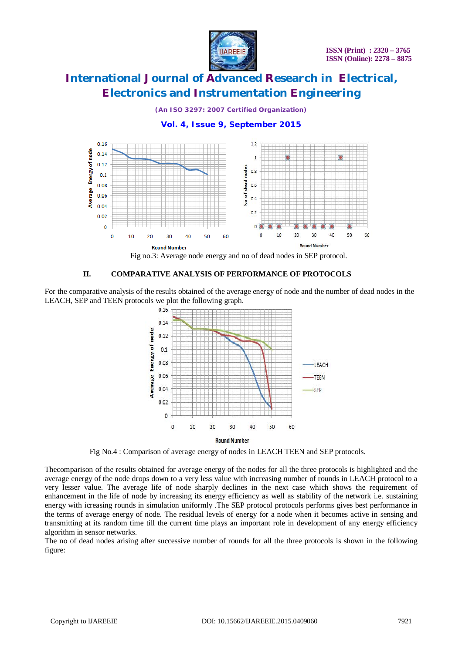

*(An ISO 3297: 2007 Certified Organization)*

### **Vol. 4, Issue 9, September 2015**



### **II. COMPARATIVE ANALYSIS OF PERFORMANCE OF PROTOCOLS**

For the comparative analysis of the results obtained of the average energy of node and the number of dead nodes in the LEACH, SEP and TEEN protocols we plot the following graph.



Fig No.4 : Comparison of average energy of nodes in LEACH TEEN and SEP protocols.

Thecomparison of the results obtained for average energy of the nodes for all the three protocols is highlighted and the average energy of the node drops down to a very less value with increasing number of rounds in LEACH protocol to a very lesser value. The average life of node sharply declines in the next case which shows the requirement of enhancement in the life of node by increasing its energy efficiency as well as stability of the network i.e. sustaining energy with icreasing rounds in simulation uniformly .The SEP protocol protocols performs gives best performance in the terms of average energy of node. The residual levels of energy for a node when it becomes active in sensing and transmitting at its random time till the current time plays an important role in development of any energy efficiency algorithm in sensor networks.

The no of dead nodes arising after successive number of rounds for all the three protocols is shown in the following figure: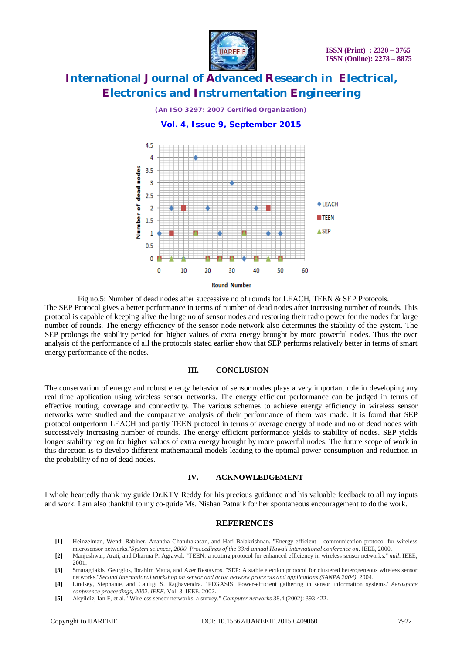

*(An ISO 3297: 2007 Certified Organization)*

### **Vol. 4, Issue 9, September 2015**



Fig no.5: Number of dead nodes after successive no of rounds for LEACH, TEEN & SEP Protocols. The SEP Protocol gives a better performance in terms of number of dead nodes after increasing number of rounds. This protocol is capable of keeping alive the large no of sensor nodes and restoring their radio power for the nodes for large number of rounds. The energy efficiency of the sensor node network also determines the stability of the system. The SEP prolongs the stability period for higher values of extra energy brought by more powerful nodes. Thus the over analysis of the performance of all the protocols stated earlier show that SEP performs relatively better in terms of smart energy performance of the nodes.

#### **III. CONCLUSION**

The conservation of energy and robust energy behavior of sensor nodes plays a very important role in developing any real time application using wireless sensor networks. The energy efficient performance can be judged in terms of effective routing, coverage and connectivity. The various schemes to achieve energy efficiency in wireless sensor networks were studied and the comparative analysis of their performance of them was made. It is found that SEP protocol outperform LEACH and partly TEEN protocol in terms of average energy of node and no of dead nodes with successively increasing number of rounds. The energy efficient performance yields to stability of nodes. SEP yields longer stability region for higher values of extra energy brought by more powerful nodes. The future scope of work in this direction is to develop different mathematical models leading to the optimal power consumption and reduction in the probability of no of dead nodes.

#### **IV. ACKNOWLEDGEMENT**

I whole heartedly thank my guide Dr.KTV Reddy for his precious guidance and his valuable feedback to all my inputs and work. I am also thankful to my co-guide Ms. Nishan Patnaik for her spontaneous encouragement to do the work.

#### **REFERENCES**

- **[1]** Heinzelman, Wendi Rabiner, Anantha Chandrakasan, and Hari Balakrishnan. "Energy-efficient communication protocol for wireless microsensor networks."*System sciences, 2000. Proceedings of the 33rd annual Hawaii international conference on*. IEEE, 2000.
- **[2]** Manjeshwar, Arati, and Dharma P. Agrawal. "TEEN: a routing protocol for enhanced efficiency in wireless sensor networks." *null*. IEEE, 2001.
- **[3]** Smaragdakis, Georgios, Ibrahim Matta, and Azer Bestavros. "SEP: A stable election protocol for clustered heterogeneous wireless sensor networks."*Second international workshop on sensor and actor network protocols and applications (SANPA 2004)*. 2004.
- **[4]** Lindsey, Stephanie, and Cauligi S. Raghavendra. "PEGASIS: Power-efficient gathering in sensor information systems." *Aerospace conference proceedings, 2002. IEEE*. Vol. 3. IEEE, 2002.
- **[5]** Akyildiz, Ian F, et al. "Wireless sensor networks: a survey." *Computer networks* 38.4 (2002): 393-422.